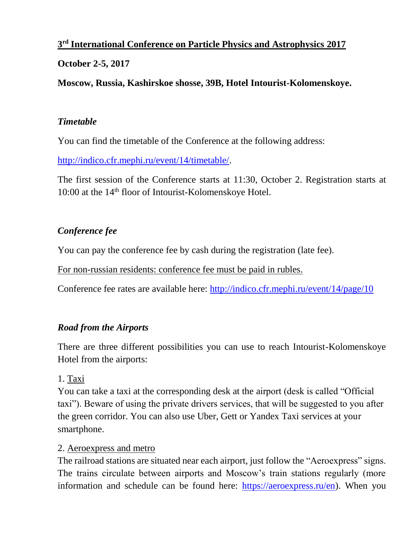## **3 rd International Conference on Particle Physics and Astrophysics 2017**

## **October 2-5, 2017**

**Moscow, Russia, Kashirskoe shosse, 39B, Hotel Intourist-Kolomenskoye.**

#### *Timetable*

You can find the timetable of the Conference at the following address:

[http://indico.cfr.mephi.ru/event/14/timetable/.](http://indico.cfr.mephi.ru/event/14/timetable/)

The first session of the Conference starts at 11:30, October 2. Registration starts at 10:00 at the 14<sup>th</sup> floor of Intourist-Kolomenskoye Hotel.

## *Conference fee*

You can pay the conference fee by cash during the registration (late fee).

For non-russian residents: conference fee must be paid in rubles.

Conference fee rates are available here:<http://indico.cfr.mephi.ru/event/14/page/10>

## *Road from the Airports*

There are three different possibilities you can use to reach Intourist-Kolomenskoye Hotel from the airports:

## 1. Taxi

You can take a taxi at the corresponding desk at the airport (desk is called "Official taxi"). Beware of using the private drivers services, that will be suggested to you after the green corridor. You can also use Uber, Gett or Yandex Taxi services at your smartphone.

## 2. Aeroexpress and metro

The railroad stations are situated near each airport, just follow the "Aeroexpress" signs. The trains circulate between airports and Moscow's train stations regularly (more information and schedule can be found here: [https://aeroexpress.ru/en\)](https://aeroexpress.ru/en). When you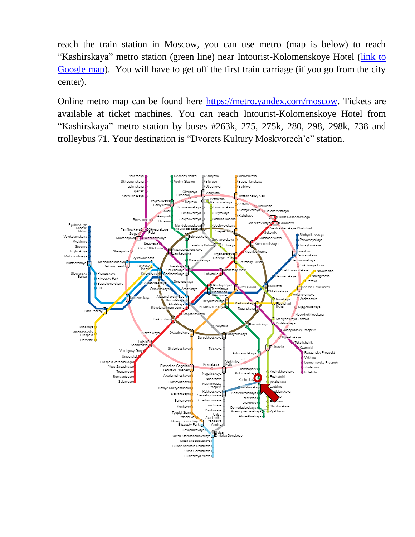reach the train station in Moscow, you can use metro (map is below) to reach "Kashirskaya" metro station (green line) near Intourist-Kolomenskoye Hotel [\(link to](https://www.google.ru/maps/dir/%D0%98%D0%BD%D1%82%D1%83%D1%80%D0%B8%D1%81%D1%82+%D0%9A%D0%BE%D0%BB%D0%BE%D0%BC%D0%B5%D0%BD%D1%81%D0%BA%D0%BE%D0%B5/%D0%9A%D0%B0%D1%88%D0%B8%D1%80%D1%81%D0%BA%D0%B0%D1%8F,+%D0%9C%D0%BE%D1%81%D0%BA%D0%B2%D0%B0,+115522/@55.6508869,37.6524662,15z/data=!3m1!4b1!4m14!4m13!1m5!1m1!1s0x0:0xa57ccb7447eaa371!2m2!1d37.6736419!2d55.647174!1m5!1m1!1s0x414ab36d6db6ca61:0xd4f70bbb14c12218!2m2!1d37.648843!2d55.655134!3e2)  [Google map\)](https://www.google.ru/maps/dir/%D0%98%D0%BD%D1%82%D1%83%D1%80%D0%B8%D1%81%D1%82+%D0%9A%D0%BE%D0%BB%D0%BE%D0%BC%D0%B5%D0%BD%D1%81%D0%BA%D0%BE%D0%B5/%D0%9A%D0%B0%D1%88%D0%B8%D1%80%D1%81%D0%BA%D0%B0%D1%8F,+%D0%9C%D0%BE%D1%81%D0%BA%D0%B2%D0%B0,+115522/@55.6508869,37.6524662,15z/data=!3m1!4b1!4m14!4m13!1m5!1m1!1s0x0:0xa57ccb7447eaa371!2m2!1d37.6736419!2d55.647174!1m5!1m1!1s0x414ab36d6db6ca61:0xd4f70bbb14c12218!2m2!1d37.648843!2d55.655134!3e2). You will have to get off the first train carriage (if you go from the city center).

Online metro map can be found here [https://metro.yandex.com/moscow.](https://metro.yandex.com/moscow) Tickets are available at ticket machines. You can reach Intourist-Kolomenskoye Hotel from "Kashirskaya" metro station by buses #263k, 275, 275k, 280, 298, 298k, 738 and trolleybus 71. Your destination is "Dvorets Kultury Moskvorech'e" station.

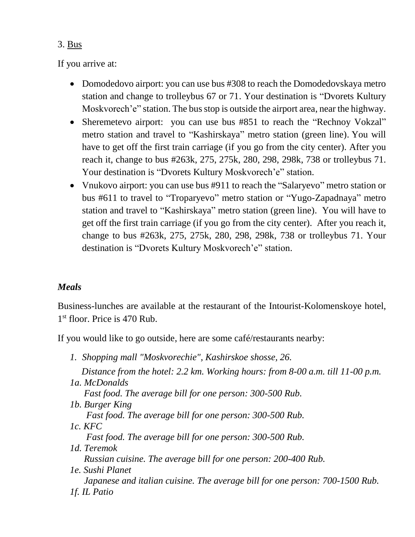## 3. Bus

If you arrive at:

- Domodedovo airport: you can use bus #308 to reach the Domodedovskaya metro station and change to trolleybus 67 or 71. Your destination is "Dvorets Kultury Moskvorech'e" station. The bus stop is outside the airport area, near the highway.
- Sheremetevo airport: you can use bus #851 to reach the "Rechnoy Vokzal" metro station and travel to "Kashirskaya" metro station (green line). You will have to get off the first train carriage (if you go from the city center). After you reach it, change to bus #263k, 275, 275k, 280, 298, 298k, 738 or trolleybus 71. Your destination is "Dvorets Kultury Moskvorech'e" station.
- Vnukovo airport: you can use bus #911 to reach the "Salaryevo" metro station or bus #611 to travel to "Troparyevo" metro station or "Yugo-Zapadnaya" metro station and travel to "Kashirskaya" metro station (green line). You will have to get off the first train carriage (if you go from the city center). After you reach it, change to bus #263k, 275, 275k, 280, 298, 298k, 738 or trolleybus 71. Your destination is "Dvorets Kultury Moskvorech'e" station.

# *Meals*

Business-lunches are available at the restaurant of the Intourist-Kolomenskoye hotel, 1<sup>st</sup> floor. Price is 470 Rub.

If you would like to go outside, here are some café/restaurants nearby:

*1. Shopping mall "Moskvorechie", Kashirskoe shosse, 26. Distance from the hotel: 2.2 km. Working hours: from 8-00 a.m. till 11-00 p.m. 1a. McDonalds Fast food. The average bill for one person: 300-500 Rub. 1b. Burger King Fast food. The average bill for one person: 300-500 Rub. 1c. KFC Fast food. The average bill for one person: 300-500 Rub. 1d. Teremok Russian cuisine. The average bill for one person: 200-400 Rub. 1e. Sushi Planet Japanese and italian cuisine. The average bill for one person: 700-1500 Rub. 1f. IL Patio*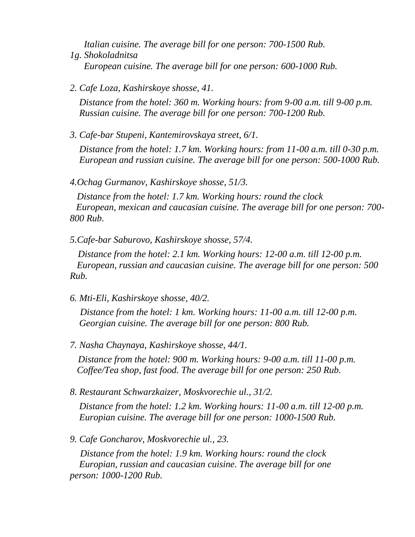*Italian cuisine. The average bill for one person: 700-1500 Rub. 1g. Shokoladnitsa European cuisine. The average bill for one person: 600-1000 Rub.*

*2. Cafe Loza, Kashirskoye shosse, 41.* 

 *Distance from the hotel: 360 m. Working hours: from 9-00 a.m. till 9-00 p.m. Russian cuisine. The average bill for one person: 700-1200 Rub.*

*3. Cafe-bar Stupeni, Kantemirovskaya street, 6/1.* 

 *Distance from the hotel: 1.7 km. Working hours: from 11-00 a.m. till 0-30 p.m. European and russian cuisine. The average bill for one person: 500-1000 Rub.*

*4.Ochag Gurmanov, Kashirskoye shosse, 51/3.* 

 *Distance from the hotel: 1.7 km. Working hours: round the clock . European, mexican and caucasian cuisine. The average bill for one person: 700- 800 Rub.*

*5.Cafe-bar Saburovo, Kashirskoye shosse, 57/4.* 

 *..Distance from the hotel: 2.1 km. Working hours: 12-00 a.m. till 12-00 p.m. European, russian and caucasian cuisine. The average bill for one person: 500 Rub.*

*6. Mti-Eli, Kashirskoye shosse, 40/2.* 

 *Distance from the hotel: 1 km. Working hours: 11-00 a.m. till 12-00 p.m. Georgian cuisine. The average bill for one person: 800 Rub.*

*7. Nasha Chaynaya, Kashirskoye shosse, 44/1.* 

 *Distance from the hotel: 900 m. Working hours: 9-00 a.m. till 11-00 p.m. Coffee/Tea shop, fast food. The average bill for one person: 250 Rub.*

*8. Restaurant Schwarzkaizer, Moskvorechie ul., 31/2.* 

 *Distance from the hotel: 1.2 km. Working hours: 11-00 a.m. till 12-00 p.m. Europian cuisine. The average bill for one person: 1000-1500 Rub.*

*9. Cafe Goncharov, Moskvorechie ul., 23.* 

 *.Distance from the hotel: 1.9 km. Working hours: round the clock Europian, russian and caucasian cuisine. The average bill for one person: 1000-1200 Rub.*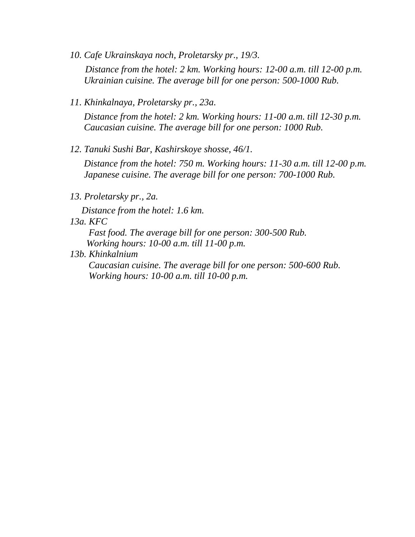- *10. Cafe Ukrainskaya noch, Proletarsky pr., 19/3. Distance from the hotel: 2 km. Working hours: 12-00 a.m. till 12-00 p.m. Ukrainian cuisine. The average bill for one person: 500-1000 Rub.*
- *11. Khinkalnaya, Proletarsky pr., 23a.*

 *Distance from the hotel: 2 km. Working hours: 11-00 a.m. till 12-30 p.m. Caucasian cuisine. The average bill for one person: 1000 Rub.*

*12. Tanuki Sushi Bar, Kashirskoye shosse, 46/1.* 

 *Distance from the hotel: 750 m. Working hours: 11-30 a.m. till 12-00 p.m. Japanese cuisine. The average bill for one person: 700-1000 Rub.*

*13. Proletarsky pr., 2a.*

 *Distance from the hotel: 1.6 km.*

*13a. KFC*

*Fast food. The average bill for one person: 300-500 Rub. Working hours: 10-00 a.m. till 11-00 p.m.*

*13b. Khinkalnium*

*Caucasian cuisine. The average bill for one person: 500-600 Rub. Working hours: 10-00 a.m. till 10-00 p.m.*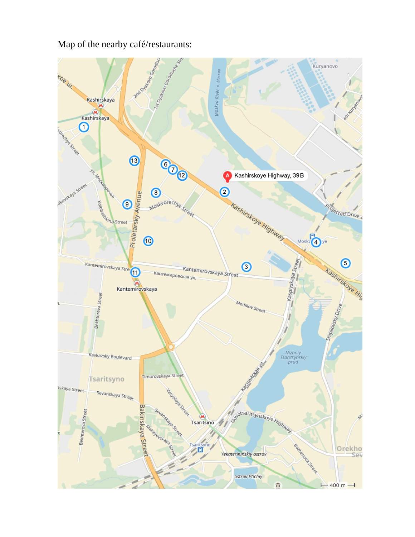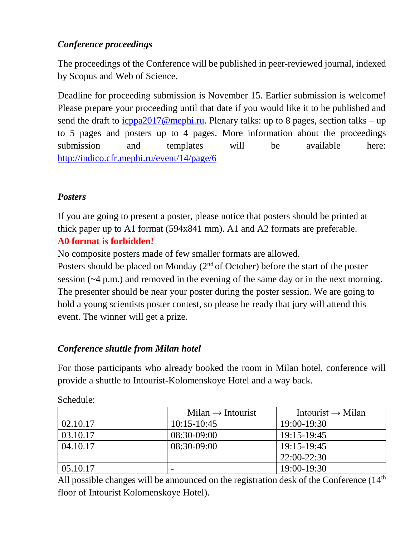# *Conference proceedings*

The proceedings of the Сonference will be published in peer-reviewed journal, indexed by Scopus and Web of Science.

Deadline for proceeding submission is November 15. Earlier submission is welcome! Please prepare your proceeding until that date if you would like it to be published and send the draft to  $icppa2017@mephi.ru$ . Plenary talks: up to 8 pages, section talks – up to 5 pages and posters up to 4 pages. More information about the proceedings submission and templates will be available here: <http://indico.cfr.mephi.ru/event/14/page/6>

# *Posters*

If you are going to present a poster, please notice that posters should be printed at thick paper up to A1 format (594x841 mm). A1 and A2 formats are preferable.

## **A0 format is forbidden!**

No composite posters made of few smaller formats are allowed.

Posters should be placed on Monday  $(2<sup>nd</sup>$  of October) before the start of the poster session (~4 p.m.) and removed in the evening of the same day or in the next morning. The presenter should be near your poster during the poster session. We are going to hold a young scientists poster contest, so please be ready that jury will attend this event. The winner will get a prize.

# *Conference shuttle from Milan hotel*

For those participants who already booked the room in Milan hotel, conference will provide a shuttle to Intourist-Kolomenskoye Hotel and a way back.

|          | $Milan \rightarrow Intourist$ | Intourist $\rightarrow$ Milan |
|----------|-------------------------------|-------------------------------|
| 02.10.17 | $10:15 - 10:45$               | $19:00 - 19:30$               |
| 03.10.17 | $08:30-09:00$                 | 19:15-19:45                   |
| 04.10.17 | $08:30-09:00$                 | 19:15-19:45                   |
|          |                               | $22:00-22:30$                 |
| 05.10.17 | -                             | $19:00 - 19:30$               |

Schedule:

All possible changes will be announced on the registration desk of the Conference  $(14<sup>th</sup>$ floor of Intourist Kolomenskoye Hotel).